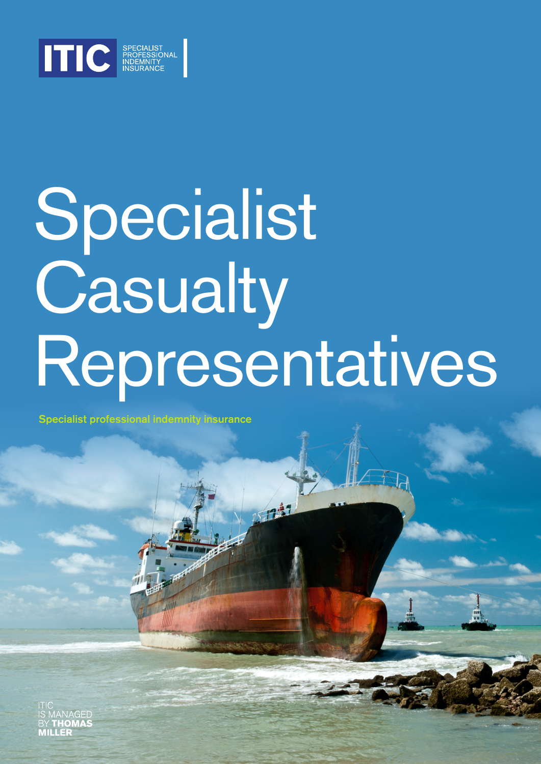

# Specialist Casualty Representatives

Specialist professional indemnity insurance